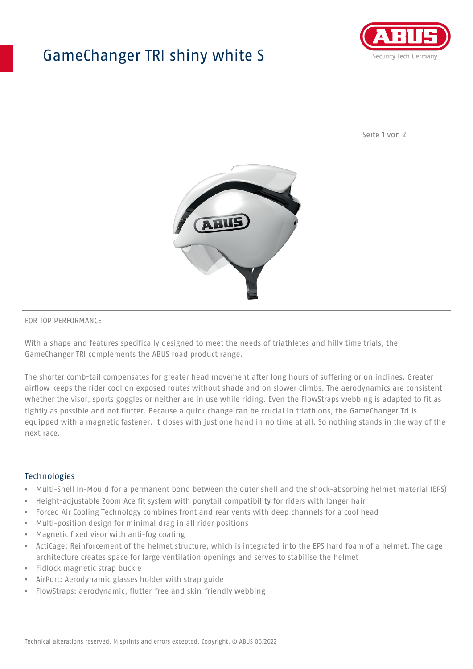## GameChanger TRI shiny white S



Seite 1 von 2



#### FOR TOP PERFORMANCE

With a shape and features specifically designed to meet the needs of triathletes and hilly time trials, the GameChanger TRI complements the ABUS road product range.

The shorter comb-tail compensates for greater head movement after long hours of suffering or on inclines. Greater airflow keeps the rider cool on exposed routes without shade and on slower climbs. The aerodynamics are consistent whether the visor, sports goggles or neither are in use while riding. Even the FlowStraps webbing is adapted to fit as tightly as possible and not flutter. Because a quick change can be crucial in triathlons, the GameChanger Tri is equipped with a magnetic fastener. It closes with just one hand in no time at all. So nothing stands in the way of the next race.

#### **Technologies**

- Multi-Shell In-Mould for a permanent bond between the outer shell and the shock-absorbing helmet material (EPS)
- Height-adjustable Zoom Ace fit system with ponytail compatibility for riders with longer hair
- Forced Air Cooling Technology combines front and rear vents with deep channels for a cool head
- Multi-position design for minimal drag in all rider positions
- Magnetic fixed visor with anti-fog coating
- ActiCage: Reinforcement of the helmet structure, which is integrated into the EPS hard foam of a helmet. The cage architecture creates space for large ventilation openings and serves to stabilise the helmet
- Fidlock magnetic strap buckle
- AirPort: Aerodynamic glasses holder with strap guide
- FlowStraps: aerodynamic, flutter-free and skin-friendly webbing